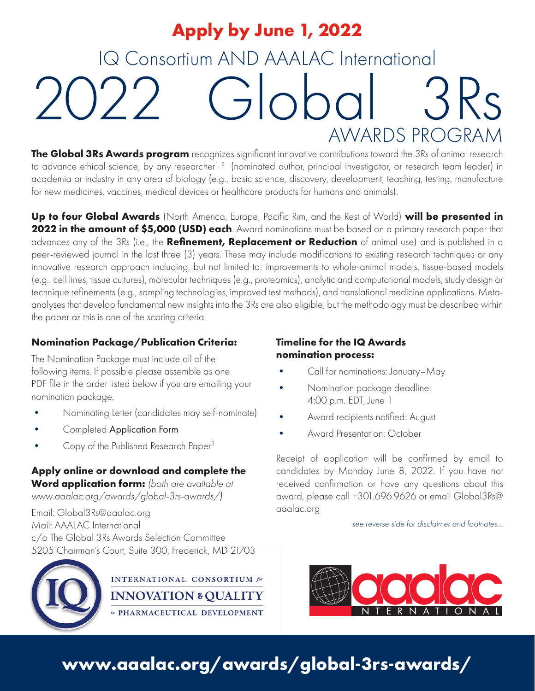# IQ Consortium AND AAALAC International 2022 Global AWARDS PROGRAM **Apply by June 1, 2022**

**The Global 3Rs Awards program** recognizes significant innovative contributions toward the 3Rs of animal research to advance ethical science, by any researcher<sup>1, 2</sup> (nominated author, principal investigator, or research team leader) in academia or industry in any area of biology (e.g., basic science, discovery, development, teaching, testing, manufacture for new medicines, vaccines, medical devices or healthcare products for humans and animals).

**Up to four Global Awards** (North America, Europe, Pacific Rim, and the Rest of World) **will be presented in 2022 in the amount of \$5,000 (USD) each**. Award nominations must be based on a primary research paper that advances any of the 3Rs (i.e., the **Refinement, Replacement or Reduction** of animal use) and is published in a peer-reviewed journal in the last three (3) years. These may include modifications to existing research techniques or any innovative research approach including, but not limited to: improvements to whole-animal models, tissue-based models (e.g., cell lines, tissue cultures), molecular techniques (e.g., proteomics), analytic and computational models, study design or technique refinements (e.g., sampling technologies, improved test methods), and translational medicine applications. Metaanalyses that develop fundamental new insights into the 3Rs are also eligible, but the methodology must be described within the paper as this is one of the scoring criteria.

### **Nomination Package/Publication Criteria:**

The Nomination Package must include all of the following items. If possible please assemble as one PDF file in the order listed below if you are emailing your nomination package.

- Nominating Letter (candidates may self-nominate)
- Completed Application Form
- Copy of the Published Research Paper3

### **Apply online or download and complete the Word application form:** *(both are available at www.aaalac.org/awards/global-3rs-awards/)*

Email: Global3Rs@aaalac.org Mail: AAALAC International c/o The Global 3Rs Awards Selection Committee 5205 Chairman's Court, Suite 300, Frederick, MD 21703



**INTERNATIONAL CONSORTIUM** for **INNOVATION & OUALITY** in PHARMACEUTICAL DEVELOPMENT

### **Timeline for the IQ Awards nomination process:**

- Call for nominations: January–May
- Nomination package deadline: 4:00 p.m. EDT, June 1
- Award recipients notified: August
- Award Presentation: October

Receipt of application will be confirmed by email to candidates by Monday June 8, 2022. If you have not received confirmation or have any questions about this award, please call +301.696.9626 or email Global3Rs@ aaalac.org

*see reverse side for disclaimer and footnotes...*



## **www.aaalac.org/awards/global-3rs-awards/**